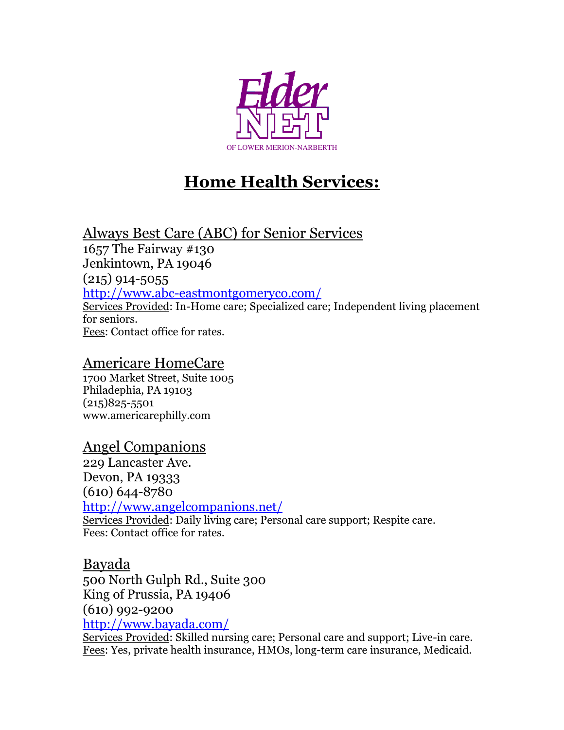

# **Home Health Services:**

# Always Best Care (ABC) for Senior Services

1657 The Fairway #130 Jenkintown, PA 19046 (215) 914-5055 <http://www.abc-eastmontgomeryco.com/> Services Provided: In-Home care; Specialized care; Independent living placement for seniors. Fees: Contact office for rates.

#### Americare HomeCare

1700 Market Street, Suite 1005 Philadephia, PA 19103 (215)825-5501 www.americarephilly.com

# Angel Companions

229 Lancaster Ave. Devon, PA 19333 (610) 644-8780 <http://www.angelcompanions.net/> Services Provided: Daily living care; Personal care support; Respite care. Fees: Contact office for rates.

## Bayada

500 North Gulph Rd., Suite 300 King of Prussia, PA 19406 (610) 992-9200 <http://www.bayada.com/>

Services Provided: Skilled nursing care; Personal care and support; Live-in care. Fees: Yes, private health insurance, HMOs, long-term care insurance, Medicaid.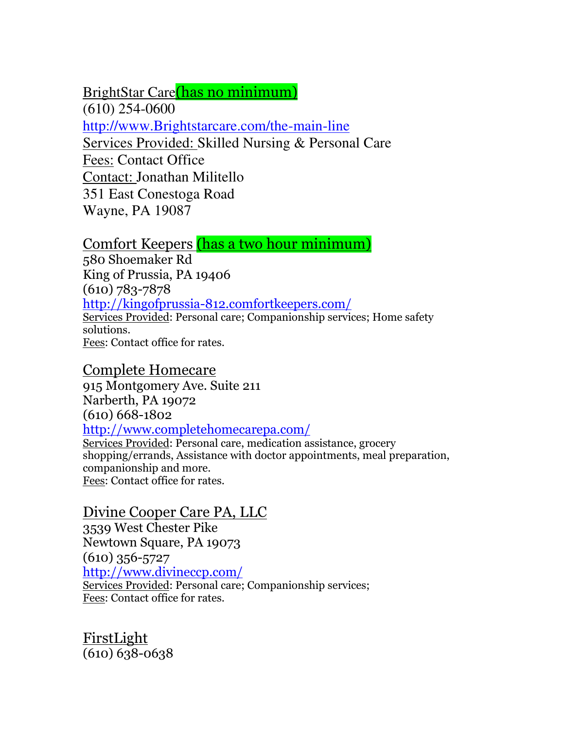BrightStar Care(has no minimum)

(610) 254-0600

[http://www.Brightstarcare.com/the-main-line](http://www.brightstarcare.com/the-main-line) 

Services Provided: Skilled Nursing & Personal Care

Fees: Contact Office

Contact: Jonathan Militello

351 East Conestoga Road

Wayne, PA 19087

Comfort Keepers (has a two hour minimum)

580 Shoemaker Rd King of Prussia, PA 19406 (610) 783-7878 <http://kingofprussia-812.comfortkeepers.com/> Services Provided: Personal care; Companionship services; Home safety solutions. Fees: Contact office for rates.

# Complete Homecare

915 Montgomery Ave. Suite 211 Narberth, PA 19072 (610) 668-1802 <http://www.completehomecarepa.com/>

Services Provided: Personal care, medication assistance, grocery shopping/errands, Assistance with doctor appointments, meal preparation, companionship and more. Fees: Contact office for rates.

# Divine Cooper Care PA, LLC

3539 West Chester Pike Newtown Square, PA 19073 (610) 356-5727 <http://www.divineccp.com/> Services Provided: Personal care; Companionship services; Fees: Contact office for rates.

FirstLight (610) 638-0638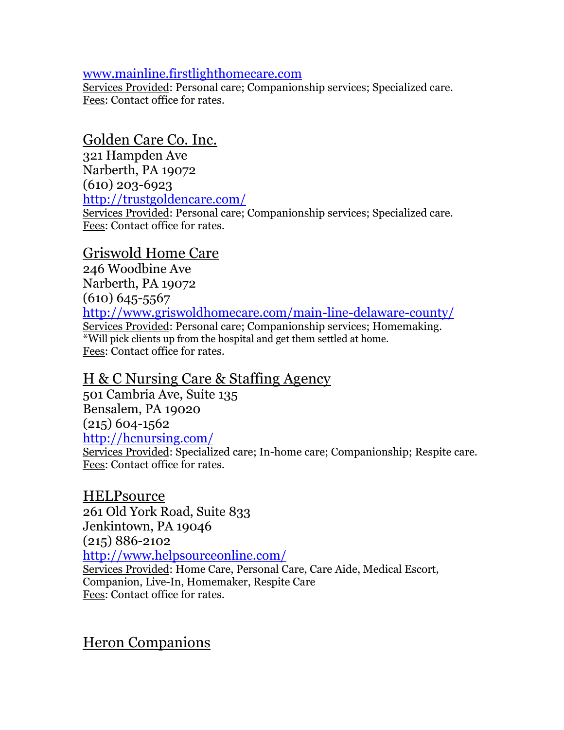#### [www.mainline.firstlighthomecare.com](http://www.mainline.firstlighthomecare.com/)

Services Provided: Personal care; Companionship services; Specialized care. Fees: Contact office for rates.

Golden Care Co. Inc.

321 Hampden Ave Narberth, PA 19072 (610) 203-6923 <http://trustgoldencare.com/>

Services Provided: Personal care; Companionship services; Specialized care. Fees: Contact office for rates.

## Griswold Home Care

246 Woodbine Ave Narberth, PA 19072 (610) 645-5567 <http://www.griswoldhomecare.com/main-line-delaware-county/> Services Provided: Personal care; Companionship services; Homemaking. \*Will pick clients up from the hospital and get them settled at home. Fees: Contact office for rates.

# H & C Nursing Care & Staffing Agency

501 Cambria Ave, Suite 135 Bensalem, PA 19020  $(215)$  604-1562 <http://hcnursing.com/>

Services Provided: Specialized care; In-home care; Companionship; Respite care. Fees: Contact office for rates.

**HELP**source 261 Old York Road, Suite 833 Jenkintown, PA 19046 (215) 886-2102 <http://www.helpsourceonline.com/> Services Provided: Home Care, Personal Care, Care Aide, Medical Escort, Companion, Live-In, Homemaker, Respite Care Fees: Contact office for rates.

Heron Companions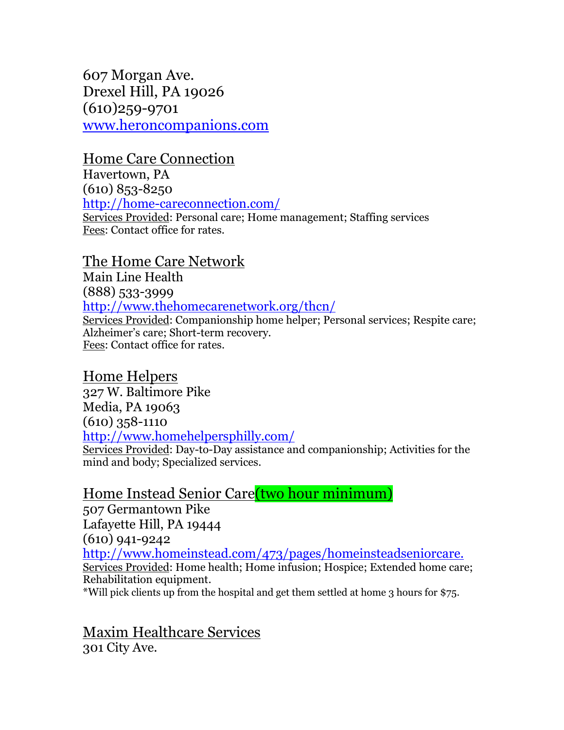607 Morgan Ave. Drexel Hill, PA 19026 (610)259-9701 [www.heroncompanions.com](http://www.heroncompanions.com/) 

#### Home Care Connection

Havertown, PA (610) 853-8250 <http://home-careconnection.com/> Services Provided: Personal care; Home management; Staffing services Fees: Contact office for rates.

## The Home Care Network

Main Line Health (888) 533-3999 <http://www.thehomecarenetwork.org/thcn/> Services Provided: Companionship home helper; Personal services; Respite care; Alzheimer's care; Short-term recovery. Fees: Contact office for rates.

#### Home Helpers

327 W. Baltimore Pike Media, PA 19063 (610) 358-1110 <http://www.homehelpersphilly.com/> Services Provided: Day-to-Day assistance and companionship; Activities for the mind and body; Specialized services.

## Home Instead Senior Care(two hour minimum)

507 Germantown Pike Lafayette Hill, PA 19444 (610) 941-9242 <http://www.homeinstead.com/473/pages/homeinsteadseniorcare.> Services Provided: Home health; Home infusion; Hospice; Extended home care; Rehabilitation equipment. \*Will pick clients up from the hospital and get them settled at home 3 hours for \$75.

Maxim Healthcare Services 301 City Ave.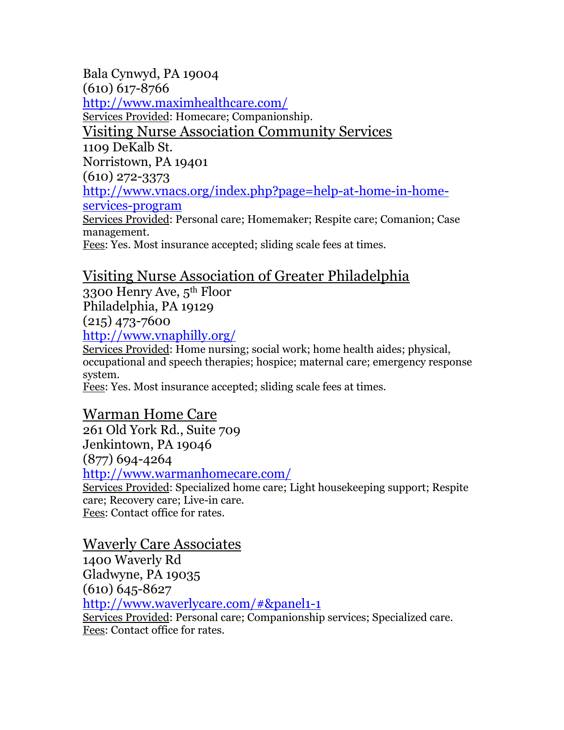Bala Cynwyd, PA 19004 (610) 617-8766 <http://www.maximhealthcare.com/> Services Provided: Homecare; Companionship. Visiting Nurse Association Community Services 1109 DeKalb St. Norristown, PA 19401 (610) 272-3373 [http://www.vnacs.org/index.php?page=help-at-home-in-home](http://www.vnacs.org/index.php?page=help-at-home-in-home-services-program)[services-program](http://www.vnacs.org/index.php?page=help-at-home-in-home-services-program) Services Provided: Personal care; Homemaker; Respite care; Comanion; Case management.

Fees: Yes. Most insurance accepted; sliding scale fees at times.

# Visiting Nurse Association of Greater Philadelphia

3300 Henry Ave, 5th Floor Philadelphia, PA 19129

(215) 473-7600

<http://www.vnaphilly.org/>

Services Provided: Home nursing; social work; home health aides; physical, occupational and speech therapies; hospice; maternal care; emergency response system.

Fees: Yes. Most insurance accepted; sliding scale fees at times.

Warman Home Care 261 Old York Rd., Suite 709 Jenkintown, PA 19046 (877) 694-4264 <http://www.warmanhomecare.com/> Services Provided: Specialized home care; Light housekeeping support; Respite care; Recovery care; Live-in care. Fees: Contact office for rates.

# Waverly Care Associates

1400 Waverly Rd Gladwyne, PA 19035 (610) 645-8627 <http://www.waverlycare.com/#&panel1-1>

Services Provided: Personal care; Companionship services; Specialized care. Fees: Contact office for rates.